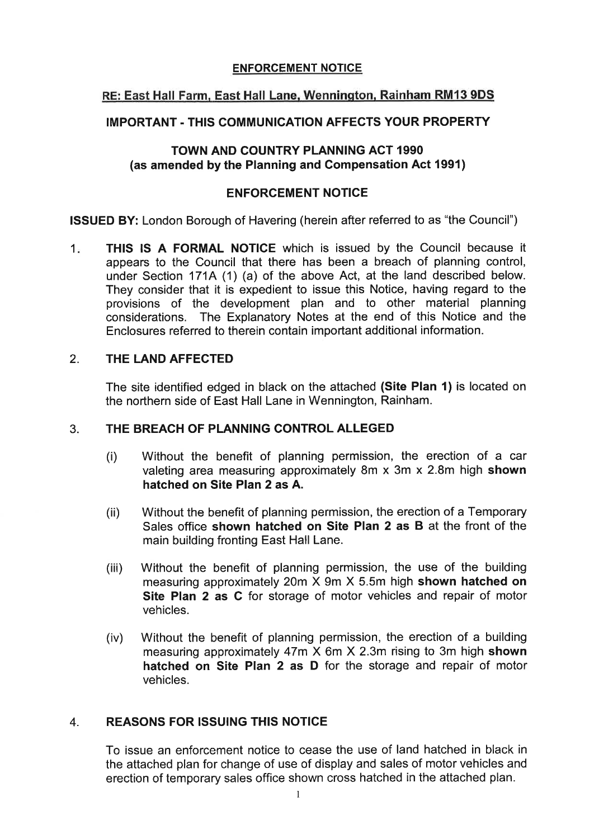#### **ENFORCEMENT NOTICE**

# **RE: East Hall Farm, East Hall Lane,Wennington, Rainham RMf3 9DS**

### **IMPORTANT** - **THlS COMMUNICATIONAFFECTS YOUR PROPERTY**

### **TOWN AND COUNTRY PLANNING ACT 1990 (as amended by the Planning and Compensation Act 1991)**

### **ENFORCEMENT NOTICE**

**ISSUED BY:** London Borough of Havering (herein after referred to as "the Council")

1. **THlS IS A FORMAL NOTICE** which is issued by the Council because it appears to the Council that there has been a breach of planning control, under Section 171A (1) (a) of the above Act, at the land described below. They consider that it is expedient to issue this Notice, having regard to the provisions of the development plan and to other material planning considerations. The Explanatory Notes at the end of this Notice and the Enclosures referred to therein contain important additional information.

### 2. **THE LAND AFFECTED**

The site identified edged in black on the attached **(Site Plan 1)** is located on the northern side of East Hall Lane in Wennington, Rainham.

### 3. **THE BREACH OF PLANNING CONTROL ALLEGED**

- (i) Without the benefit of planning permission, the erection of a car valeting area measuring approximately 8m X 3m X 2.8m high **shown hatched on Site Plan 2 as A.**
- (ii) Without the benefit of planning permission, the erection of a Temporary Sales office **shown hatched on Site Plan 2 as B** at the front of the main building fronting East Hall Lane.
- (iii) Without the benefit of planning permission, the use of the building measuring approximately 20m X 9m X 5.5m high **shown hatched on Site Plan 2 as C** for storage of motor vehicles and repair of motor vehicles.
- (iv) Without the benefit of planning permission, the erection of a building measuring approximately 47m X 6m X 2.3m rising to 3m high **shown hatched on Site Plan 2 as D** for the storage and repair of motor vehicles.

# 4. **REASONS FOR ISSUING THIS NOTICE**

To issue an enforcement notice to cease the use of land hatched in black in the attached plan for change of use of display and sales of motor vehicles and erection of temporary sales office shown cross hatched in the attached plan.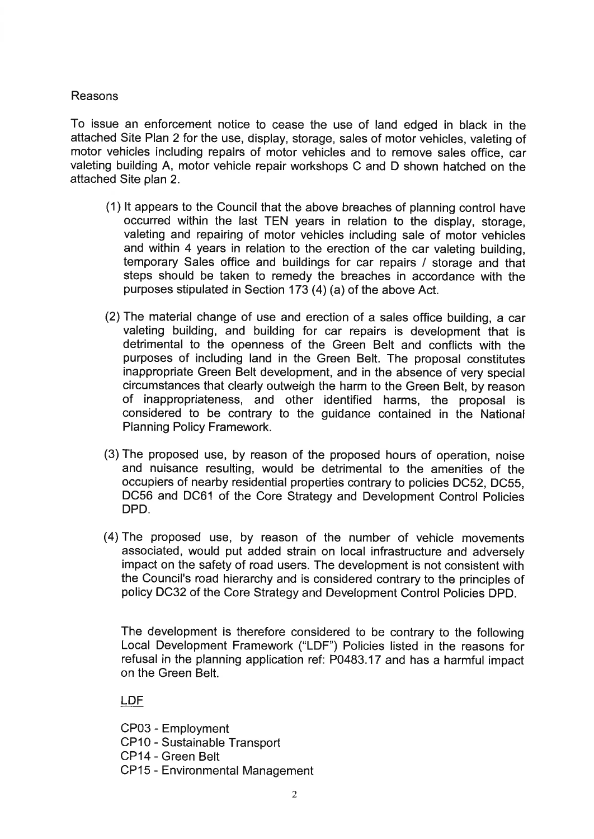### Reasons

To issue an enforcement notice to cease the use of land edged in black in the attached Site Plan 2 for the use, display, storage, sales of motor vehicles, valeting of motor vehicles including repairs of motor vehicles and to remove sales office, car valeting building A, motor vehicle repair workshops C and D shown hatched on the attached Site plan 2.

- (1) It appears to the Council that the above breaches of planning control have occurred within the last TEN years in relation to the display, storage, valeting and repairing of motor vehicles including sale of motor vehicles and within 4 years in relation to the erection of the car valeting building, temporary Sales office and buildings for car repairs / storage and that steps should be taken to remedy the breaches in accordance with the purposes stipulated in Section 173 (4) (a) of the above Act.
- (2) The material change of use and erection of a sales office building, a car valeting building, and building for car repairs is development that is detrimental to the openness of the Green Belt and conflicts with the purposes of including land in the Green Belt. The proposal constitutes inappropriate Green Belt development, and in the absence of very special circumstances that clearly outweigh the harm to the Green Belt, by reason of inappropriateness, and other identified harms, the proposal is considered to be contrary to the guidance contained in the National Planning Policy Framework.
- (3) The proposed use, by reason of the proposed hours of operation, noise and nuisance resulting, would be detrimental to the amenities of the occupiers of nearby residential properties contrary to policies DC52, DC55, DC56 and DC61 of the Core Strategy and Development Control Policies DPD.
- (4)The proposed use, by reason of the number of vehicle movements associated, would put added strain on local infrastructure and adversely impact on the safety of road users. The development is not consistent with the Council's road hierarchy and is considered contrary to the principles of policy DC32 of the Core Strategy and Development Control Policies DPD.

The development is therefore considered to be contrary to the following Local Development Framework ("LDF") Policies listed in the reasons for refusal in the planning application ref: P0483.17 and has a harmful impact on the Green Belt.

**LDF** 

CP03 - Employment

- CPlO Sustainable Transport
- CP14 Green Belt
- CP15 Environmental Management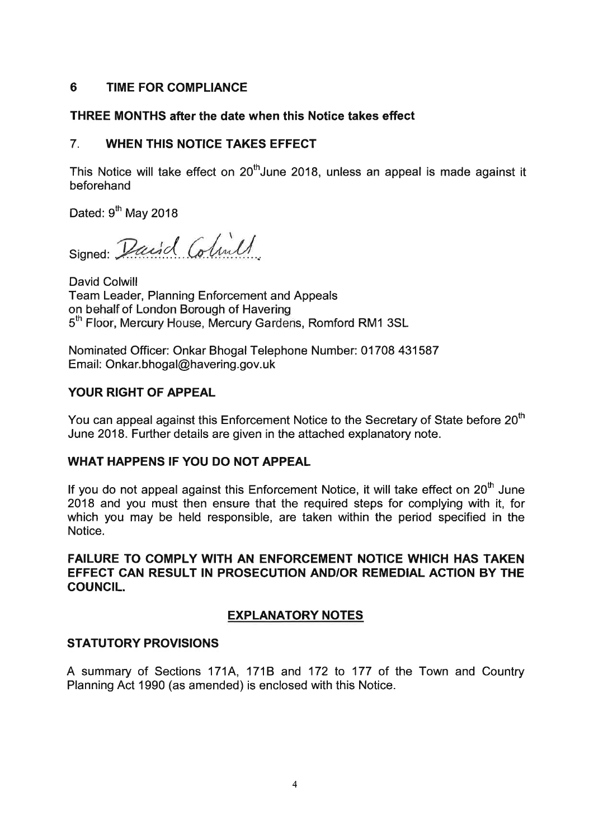## 6 TIME FOR COMPLIANCE

# THREE MONTHS after the date when this Notice takes effect

# 7. WHEN THIS NOTICE TAKES EFFECT

This Notice will take effect on  $20<sup>th</sup>$  June 2018, unless an appeal is made against it beforehand

Dated:  $9<sup>th</sup>$  May 2018

Signed: David Colinil

David Colwill Team Leader, Planning Enforcement and Appeals on behalf of London Borough of Havering 5<sup>th</sup> Floor, Mercury House, Mercury Gardens, Romford RM1 3SL

Nominated Officer: Onkar Bhogal Telephone Number: 01708 431587 Email: 0nkar.bhogal@havering.g0v.uk

# YOUR RIGHT OF APPEAL

You can appeal against this Enforcement Notice to the Secretary of State before 20<sup>th</sup> June 2018. Further details are given in the attached explanatory note.

### WHAT HAPPENS IF YOU DO NOT APPEAL

If you do not appeal against this Enforcement Notice, it will take effect on  $20<sup>th</sup>$  June 2018 and you must then ensure that the required steps for complying with it, for which you may be held responsible, are taken within the period specified in the Notice.

FAILURE TO COMPLY WITH AN ENFORCEMENT NOTICE WHICH HAS TAKEN EFFECT CAN RESULT IN PROSECUTION ANDIOR REMEDIAL ACTION BY THE COUNCIL.

# EXPLANATORY NOTES

### STATUTORY PROVISIONS

A summary of Sections 171A, 171B and 172 to 177 of the Town and Country Planning Act 1990 (as amended) is enclosed with this Notice.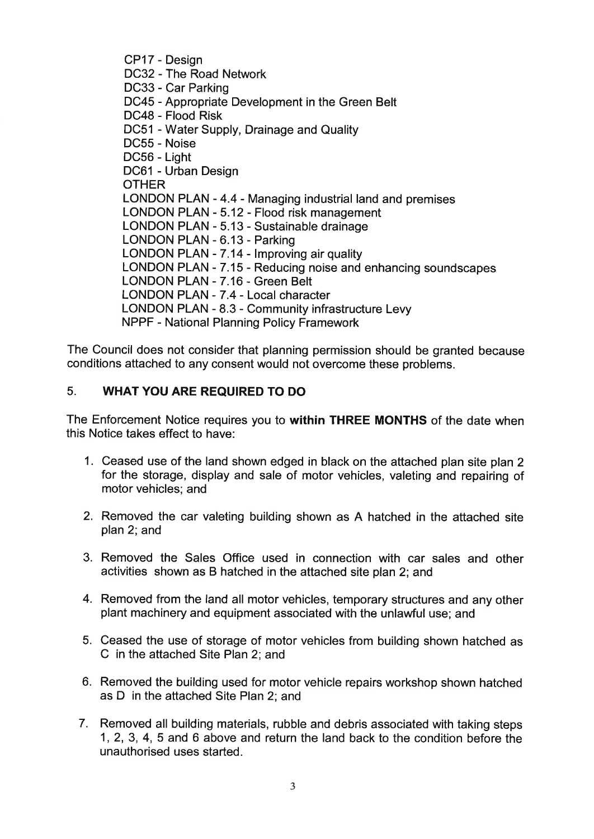CP17 - Design DC32 - The Road Network DC33 - Car Parking DC45 - Appropriate Development in the Green Belt DC48 - Flood Risk DC51 - Water Supply, Drainage and Quality DC55 - Noise DC56 - Light DC61 - Urban Design **OTHER** LONDON PLAN - 4.4 - Managing industrial land and premises LONDON PLAN - 5.12 - Flood risk management LONDON PLAN - 5.13 - Sustainable drainage LONDON PLAN - 6.13 - Parking LONDON PLAN - 7.14 - Improving air quality LONDON PLAN - 7.15 - Reducing noise and enhancing soundscapes LONDON PLAN - 7.16 - Green Belt LONDON PLAN - 7.4 - Local character LONDON PLAN - 8.3 - Community infrastructure Levy NPPF - National Planning Policy Framework

The Council does not consider that planning permission should be granted because conditions attached to any consent would not overcome these problems.

# 5. **WHAT YOU ARE REQUIRED TO DO**

The Enforcement Notice requires you to **within THREE MONTHS** of the date when this Notice takes effect to have:

- 1. Ceased use of the land shown edged in black on the attached plan site plan 2 for the storage, display and sale of motor vehicles, valeting and repairing of motor vehicles; and
- 2. Removed the car valeting building shown as A hatched in the attached site plan 2; and
- 3. Removed the Sales Office used in connection with car sales and other activities shown as B hatched in the attached site plan 2; and
- 4. Removed from the land all motor vehicles, temporary structures and any other plant machinery and equipment associated with the unlawful use; and
- 5. Ceased the use of storage of motor vehicles from building shown hatched as C in the attached Site Plan 2; and
- 6. Removed the building used for motor vehicle repairs workshop shown hatched as D in the attached Site Plan 2; and
- 7. Removed all building materials, rubble and debris associated with taking steps l, 2, 3, 4, 5 and 6 above and return the land back to the condition before the unauthorised uses started.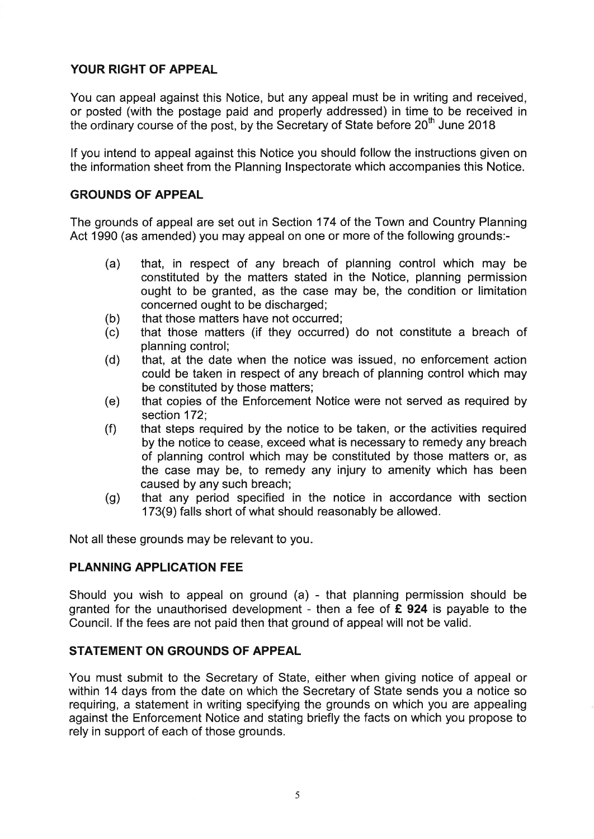# **YOUR RIGHT OF APPEAL**

You can appeal against this Notice, but any appeal must be in writing and received, or posted (with the postage paid and properly addressed) in time to be received in the ordinary course of the post, by the Secretary of State before  $20^{th}$  June 2018

If you intend to appeal against this Notice you should follow the instructions given on the information sheet from the Planning Inspectorate which accompanies this Notice.

#### **GROUNDS OF APPEAL**

The grounds of appeal are set out in Section 174 of the Town and Country Planning Act 1990 (as amended) you may appeal on one or more of the following grounds:-

- (a) that, in respect of any breach of planning control which may be constituted by the matters stated in the Notice, planning permission ought to be granted, as the case may be, the condition or limitation concerned ought to be discharged;
- (b) that those matters have not occurred;<br>(c) that those matters (if they occurred
- that those matters (if they occurred) do not constitute a breach of planning control;
- (d) that, at the date when the notice was issued, no enforcement action could be taken in respect of any breach of planning control which may be constituted by those matters;
- (e) that copies of the Enforcement Notice were not served as required by section 172;
- (f) that steps required by the notice to be taken, or the activities required by the notice to cease, exceed what is necessary to remedy any breach of planning control which may be constituted by those matters or, as the case may be, to remedy any injury to amenity which has been caused by any such breach;
- (g) that any period specified in the notice in accordance with section 173(9) falls short of what should reasonably be allowed.

Not all these grounds may be relevant to you.

### **PLANNING APPLICATION FEE**

Should you wish to appeal on ground (a) - that planning permission should be granted for the unauthorised development - then a fee of **f 924** is payable to the Council. If the fees are not paid then that ground of appeal will not be valid.

### **STATEMENT ON GROUNDS OF APPEAL**

You must submit to the Secretary of State, either when giving notice of appeal or within 14 days from the date on which the Secretary of State sends you a notice so requiring, a statement in writing specifying the grounds on which you are appealing against the Enforcement Notice and stating briefly the facts on which you propose to rely in support of each of those grounds.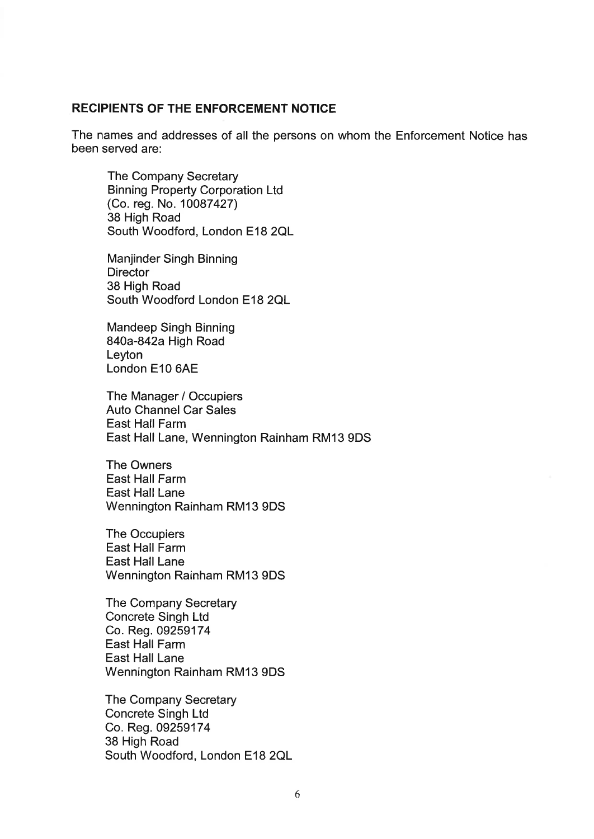#### **RECIPIENTS OF THE ENFORCEMENT NOTICE**

The names and addresses of all the persons on whom the Enforcement Notice has been served are:

The Company Secretary Binning Property Corporation Ltd (Co. reg. No. 10087427) 38 High Road South Woodford, London E18 2QL

Manjinder Singh Binning **Director** 38 High Road South Woodford London E18 2QL

Mandeep Singh Binning 840a-842a High Road Leyton London E10 6AE

The Manager / Occupiers Auto Channel Car Sales East Hall Farm East Hall Lane, Wennington Rainham RM13 9DS

The Owners East Hall Farm East Hall Lane Wennington Rainham RM13 9DS

The Occupiers East Hall Farm East Hall Lane Wennington Rainham RM13 9DS

The Company Secretary Concrete Singh Ltd Co. Reg. 09259174 East Hall Farm East Hall Lane Wennington Rainham RM13 9DS

The Company Secretary Concrete Singh Ltd Co. Reg. 092591 74 38 High Road South Woodford, London E18 2QL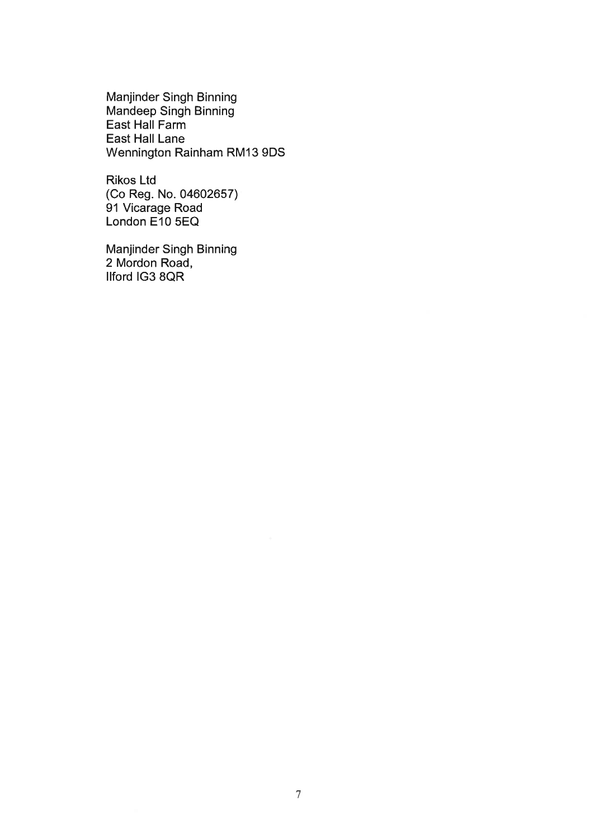Manjinder Singh Binning Mandeep Singh Binning East Hall Farm East Hall Lane Wennington Rainham RM13 9DS

Rikos Ltd (CO Reg. No. 04602657) 91 Vicarage Road London E10 5EQ

Manjinder Singh Binning 2 Mordon Road, llford IG3 8QR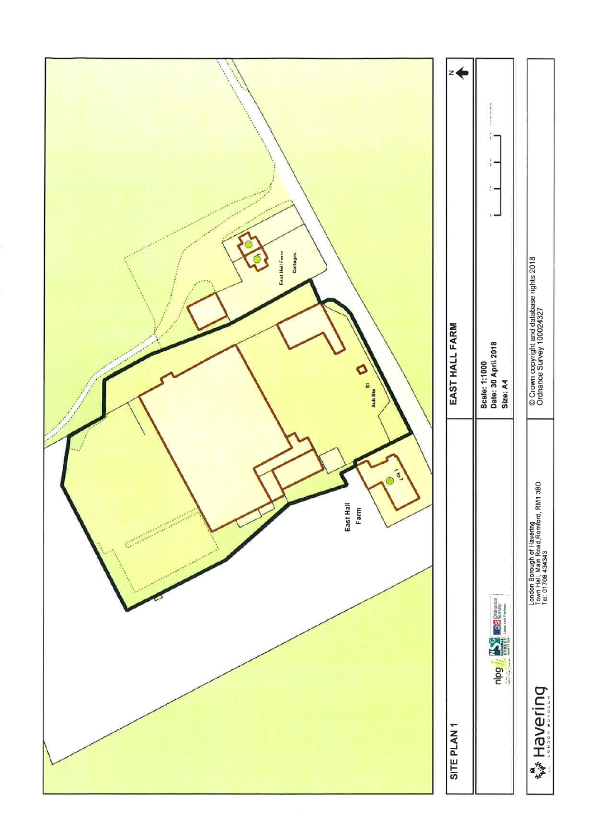